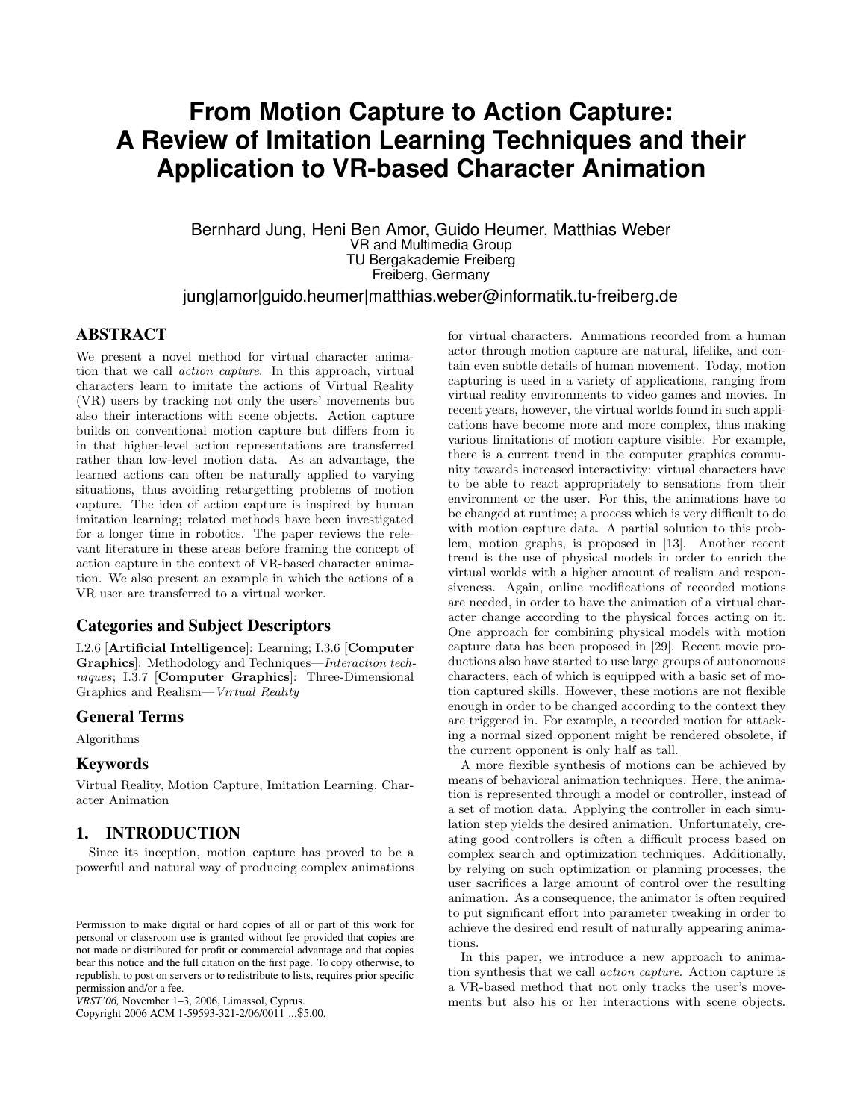# **From Motion Capture to Action Capture: A Review of Imitation Learning Techniques and their Application to VR-based Character Animation**

Bernhard Jung, Heni Ben Amor, Guido Heumer, Matthias Weber VR and Multimedia Group TU Bergakademie Freiberg Freiberg, Germany

jung|amor|guido.heumer|matthias.weber@informatik.tu-freiberg.de

# **ABSTRACT**

We present a novel method for virtual character animation that we call action capture. In this approach, virtual characters learn to imitate the actions of Virtual Reality (VR) users by tracking not only the users' movements but also their interactions with scene objects. Action capture builds on conventional motion capture but differs from it in that higher-level action representations are transferred rather than low-level motion data. As an advantage, the learned actions can often be naturally applied to varying situations, thus avoiding retargetting problems of motion capture. The idea of action capture is inspired by human imitation learning; related methods have been investigated for a longer time in robotics. The paper reviews the relevant literature in these areas before framing the concept of action capture in the context of VR-based character animation. We also present an example in which the actions of a VR user are transferred to a virtual worker.

# **Categories and Subject Descriptors**

I.2.6 [Artificial Intelligence]: Learning; I.3.6 [Computer Graphics]: Methodology and Techniques—Interaction techniques; I.3.7 [Computer Graphics]: Three-Dimensional Graphics and Realism—Virtual Reality

#### **General Terms**

Algorithms

#### **Keywords**

Virtual Reality, Motion Capture, Imitation Learning, Character Animation

# **1. INTRODUCTION**

Since its inception, motion capture has proved to be a powerful and natural way of producing complex animations

Copyright 2006 ACM 1-59593-321-2/06/0011 ...\$5.00.

for virtual characters. Animations recorded from a human actor through motion capture are natural, lifelike, and contain even subtle details of human movement. Today, motion capturing is used in a variety of applications, ranging from virtual reality environments to video games and movies. In recent years, however, the virtual worlds found in such applications have become more and more complex, thus making various limitations of motion capture visible. For example, there is a current trend in the computer graphics community towards increased interactivity: virtual characters have to be able to react appropriately to sensations from their environment or the user. For this, the animations have to be changed at runtime; a process which is very difficult to do with motion capture data. A partial solution to this problem, motion graphs, is proposed in [13]. Another recent trend is the use of physical models in order to enrich the virtual worlds with a higher amount of realism and responsiveness. Again, online modifications of recorded motions are needed, in order to have the animation of a virtual character change according to the physical forces acting on it. One approach for combining physical models with motion capture data has been proposed in [29]. Recent movie productions also have started to use large groups of autonomous characters, each of which is equipped with a basic set of motion captured skills. However, these motions are not flexible enough in order to be changed according to the context they are triggered in. For example, a recorded motion for attacking a normal sized opponent might be rendered obsolete, if the current opponent is only half as tall.

A more flexible synthesis of motions can be achieved by means of behavioral animation techniques. Here, the animation is represented through a model or controller, instead of a set of motion data. Applying the controller in each simulation step yields the desired animation. Unfortunately, creating good controllers is often a difficult process based on complex search and optimization techniques. Additionally, by relying on such optimization or planning processes, the user sacrifices a large amount of control over the resulting animation. As a consequence, the animator is often required to put significant effort into parameter tweaking in order to achieve the desired end result of naturally appearing animations.

In this paper, we introduce a new approach to animation synthesis that we call action capture. Action capture is a VR-based method that not only tracks the user's movements but also his or her interactions with scene objects.

Permission to make digital or hard copies of all or part of this work for personal or classroom use is granted without fee provided that copies are not made or distributed for profit or commercial advantage and that copies bear this notice and the full citation on the first page. To copy otherwise, to republish, to post on servers or to redistribute to lists, requires prior specific permission and/or a fee.

*VRST'06,* November 1–3, 2006, Limassol, Cyprus.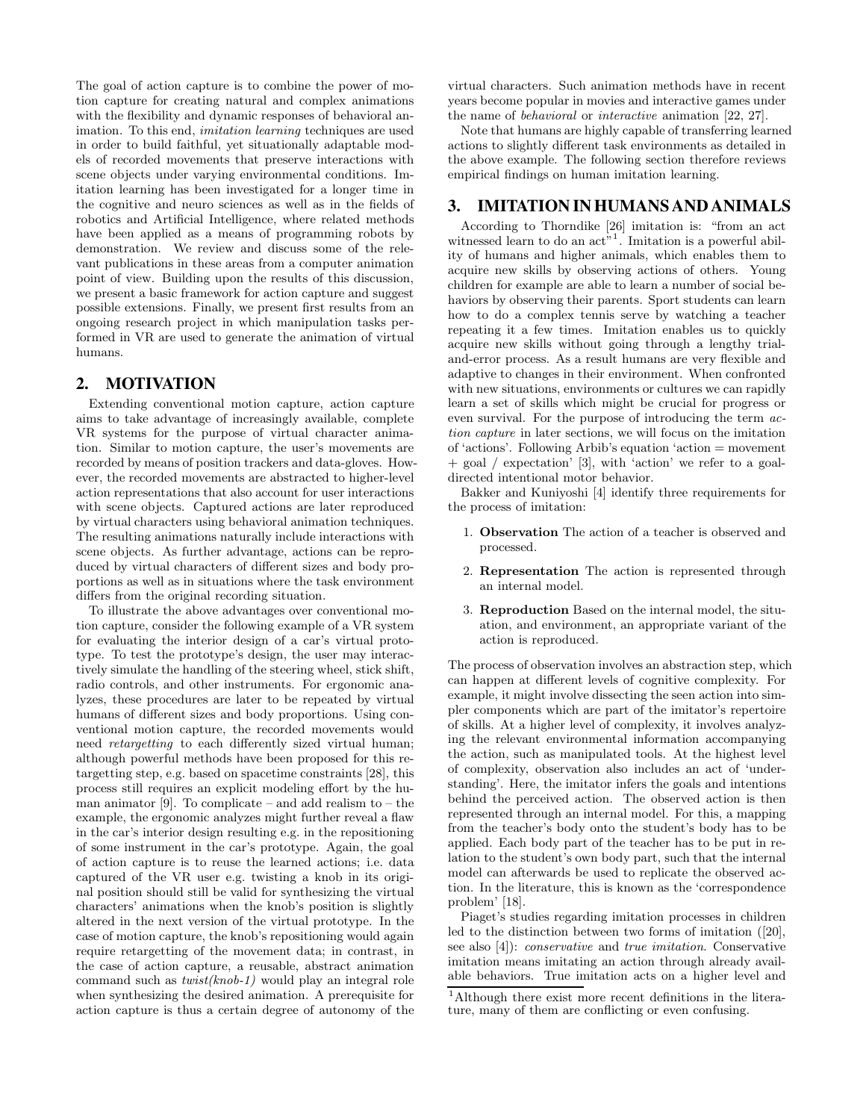The goal of action capture is to combine the power of motion capture for creating natural and complex animations with the flexibility and dynamic responses of behavioral animation. To this end, imitation learning techniques are used in order to build faithful, yet situationally adaptable models of recorded movements that preserve interactions with scene objects under varying environmental conditions. Imitation learning has been investigated for a longer time in the cognitive and neuro sciences as well as in the fields of robotics and Artificial Intelligence, where related methods have been applied as a means of programming robots by demonstration. We review and discuss some of the relevant publications in these areas from a computer animation point of view. Building upon the results of this discussion, we present a basic framework for action capture and suggest possible extensions. Finally, we present first results from an ongoing research project in which manipulation tasks performed in VR are used to generate the animation of virtual humans.

#### **2. MOTIVATION**

Extending conventional motion capture, action capture aims to take advantage of increasingly available, complete VR systems for the purpose of virtual character animation. Similar to motion capture, the user's movements are recorded by means of position trackers and data-gloves. However, the recorded movements are abstracted to higher-level action representations that also account for user interactions with scene objects. Captured actions are later reproduced by virtual characters using behavioral animation techniques. The resulting animations naturally include interactions with scene objects. As further advantage, actions can be reproduced by virtual characters of different sizes and body proportions as well as in situations where the task environment differs from the original recording situation.

To illustrate the above advantages over conventional motion capture, consider the following example of a VR system for evaluating the interior design of a car's virtual prototype. To test the prototype's design, the user may interactively simulate the handling of the steering wheel, stick shift, radio controls, and other instruments. For ergonomic analyzes, these procedures are later to be repeated by virtual humans of different sizes and body proportions. Using conventional motion capture, the recorded movements would need retargetting to each differently sized virtual human; although powerful methods have been proposed for this retargetting step, e.g. based on spacetime constraints [28], this process still requires an explicit modeling effort by the human animator [9]. To complicate – and add realism to – the example, the ergonomic analyzes might further reveal a flaw in the car's interior design resulting e.g. in the repositioning of some instrument in the car's prototype. Again, the goal of action capture is to reuse the learned actions; i.e. data captured of the VR user e.g. twisting a knob in its original position should still be valid for synthesizing the virtual characters' animations when the knob's position is slightly altered in the next version of the virtual prototype. In the case of motion capture, the knob's repositioning would again require retargetting of the movement data; in contrast, in the case of action capture, a reusable, abstract animation command such as  $twist(knob-1)$  would play an integral role when synthesizing the desired animation. A prerequisite for action capture is thus a certain degree of autonomy of the

virtual characters. Such animation methods have in recent years become popular in movies and interactive games under the name of behavioral or interactive animation [22, 27].

Note that humans are highly capable of transferring learned actions to slightly different task environments as detailed in the above example. The following section therefore reviews empirical findings on human imitation learning.

#### **3. IMITATION IN HUMANS AND ANIMALS**

According to Thorndike [26] imitation is: "from an act witnessed learn to do an act<sup>"1</sup>. Imitation is a powerful ability of humans and higher animals, which enables them to acquire new skills by observing actions of others. Young children for example are able to learn a number of social behaviors by observing their parents. Sport students can learn how to do a complex tennis serve by watching a teacher repeating it a few times. Imitation enables us to quickly acquire new skills without going through a lengthy trialand-error process. As a result humans are very flexible and adaptive to changes in their environment. When confronted with new situations, environments or cultures we can rapidly learn a set of skills which might be crucial for progress or even survival. For the purpose of introducing the term action capture in later sections, we will focus on the imitation of 'actions'. Following Arbib's equation 'action = movement + goal / expectation' [3], with 'action' we refer to a goaldirected intentional motor behavior.

Bakker and Kuniyoshi [4] identify three requirements for the process of imitation:

- 1. Observation The action of a teacher is observed and processed.
- 2. Representation The action is represented through an internal model.
- 3. Reproduction Based on the internal model, the situation, and environment, an appropriate variant of the action is reproduced.

The process of observation involves an abstraction step, which can happen at different levels of cognitive complexity. For example, it might involve dissecting the seen action into simpler components which are part of the imitator's repertoire of skills. At a higher level of complexity, it involves analyzing the relevant environmental information accompanying the action, such as manipulated tools. At the highest level of complexity, observation also includes an act of 'understanding'. Here, the imitator infers the goals and intentions behind the perceived action. The observed action is then represented through an internal model. For this, a mapping from the teacher's body onto the student's body has to be applied. Each body part of the teacher has to be put in relation to the student's own body part, such that the internal model can afterwards be used to replicate the observed action. In the literature, this is known as the 'correspondence problem' [18].

Piaget's studies regarding imitation processes in children led to the distinction between two forms of imitation ([20], see also [4]): conservative and true imitation. Conservative imitation means imitating an action through already available behaviors. True imitation acts on a higher level and

<sup>1</sup>Although there exist more recent definitions in the literature, many of them are conflicting or even confusing.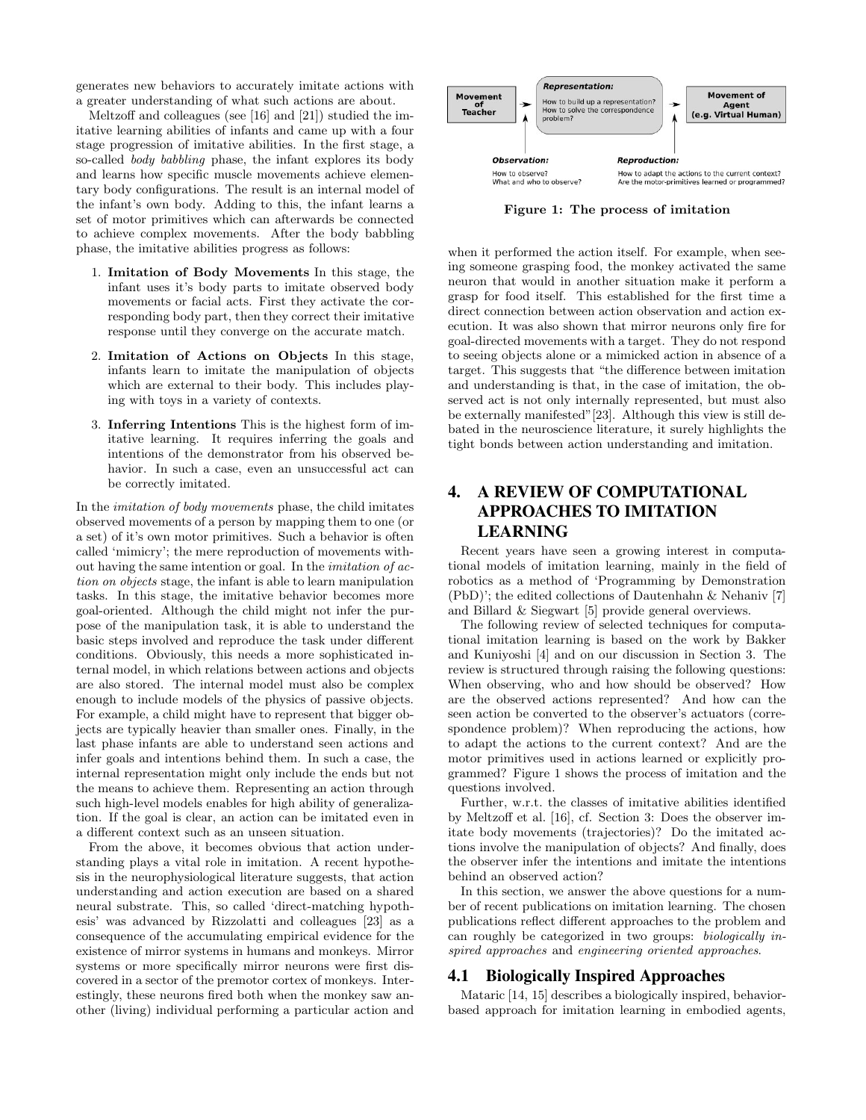generates new behaviors to accurately imitate actions with a greater understanding of what such actions are about.

Meltzoff and colleagues (see [16] and [21]) studied the imitative learning abilities of infants and came up with a four stage progression of imitative abilities. In the first stage, a so-called body babbling phase, the infant explores its body and learns how specific muscle movements achieve elementary body configurations. The result is an internal model of the infant's own body. Adding to this, the infant learns a set of motor primitives which can afterwards be connected to achieve complex movements. After the body babbling phase, the imitative abilities progress as follows:

- 1. Imitation of Body Movements In this stage, the infant uses it's body parts to imitate observed body movements or facial acts. First they activate the corresponding body part, then they correct their imitative response until they converge on the accurate match.
- 2. Imitation of Actions on Objects In this stage, infants learn to imitate the manipulation of objects which are external to their body. This includes playing with toys in a variety of contexts.
- 3. Inferring Intentions This is the highest form of imitative learning. It requires inferring the goals and intentions of the demonstrator from his observed behavior. In such a case, even an unsuccessful act can be correctly imitated.

In the imitation of body movements phase, the child imitates observed movements of a person by mapping them to one (or a set) of it's own motor primitives. Such a behavior is often called 'mimicry'; the mere reproduction of movements without having the same intention or goal. In the imitation of action on objects stage, the infant is able to learn manipulation tasks. In this stage, the imitative behavior becomes more goal-oriented. Although the child might not infer the purpose of the manipulation task, it is able to understand the basic steps involved and reproduce the task under different conditions. Obviously, this needs a more sophisticated internal model, in which relations between actions and objects are also stored. The internal model must also be complex enough to include models of the physics of passive objects. For example, a child might have to represent that bigger objects are typically heavier than smaller ones. Finally, in the last phase infants are able to understand seen actions and infer goals and intentions behind them. In such a case, the internal representation might only include the ends but not the means to achieve them. Representing an action through such high-level models enables for high ability of generalization. If the goal is clear, an action can be imitated even in a different context such as an unseen situation.

From the above, it becomes obvious that action understanding plays a vital role in imitation. A recent hypothesis in the neurophysiological literature suggests, that action understanding and action execution are based on a shared neural substrate. This, so called 'direct-matching hypothesis' was advanced by Rizzolatti and colleagues [23] as a consequence of the accumulating empirical evidence for the existence of mirror systems in humans and monkeys. Mirror systems or more specifically mirror neurons were first discovered in a sector of the premotor cortex of monkeys. Interestingly, these neurons fired both when the monkey saw another (living) individual performing a particular action and



Figure 1: The process of imitation

when it performed the action itself. For example, when seeing someone grasping food, the monkey activated the same neuron that would in another situation make it perform a grasp for food itself. This established for the first time a direct connection between action observation and action execution. It was also shown that mirror neurons only fire for goal-directed movements with a target. They do not respond to seeing objects alone or a mimicked action in absence of a target. This suggests that "the difference between imitation and understanding is that, in the case of imitation, the observed act is not only internally represented, but must also be externally manifested"[23]. Although this view is still debated in the neuroscience literature, it surely highlights the tight bonds between action understanding and imitation.

# **4. A REVIEW OF COMPUTATIONAL APPROACHES TO IMITATION LEARNING**

Recent years have seen a growing interest in computational models of imitation learning, mainly in the field of robotics as a method of 'Programming by Demonstration (PbD)'; the edited collections of Dautenhahn & Nehaniv [7] and Billard & Siegwart [5] provide general overviews.

The following review of selected techniques for computational imitation learning is based on the work by Bakker and Kuniyoshi [4] and on our discussion in Section 3. The review is structured through raising the following questions: When observing, who and how should be observed? How are the observed actions represented? And how can the seen action be converted to the observer's actuators (correspondence problem)? When reproducing the actions, how to adapt the actions to the current context? And are the motor primitives used in actions learned or explicitly programmed? Figure 1 shows the process of imitation and the questions involved.

Further, w.r.t. the classes of imitative abilities identified by Meltzoff et al. [16], cf. Section 3: Does the observer imitate body movements (trajectories)? Do the imitated actions involve the manipulation of objects? And finally, does the observer infer the intentions and imitate the intentions behind an observed action?

In this section, we answer the above questions for a number of recent publications on imitation learning. The chosen publications reflect different approaches to the problem and can roughly be categorized in two groups: biologically inspired approaches and engineering oriented approaches.

#### **4.1 Biologically Inspired Approaches**

Mataric [14, 15] describes a biologically inspired, behaviorbased approach for imitation learning in embodied agents,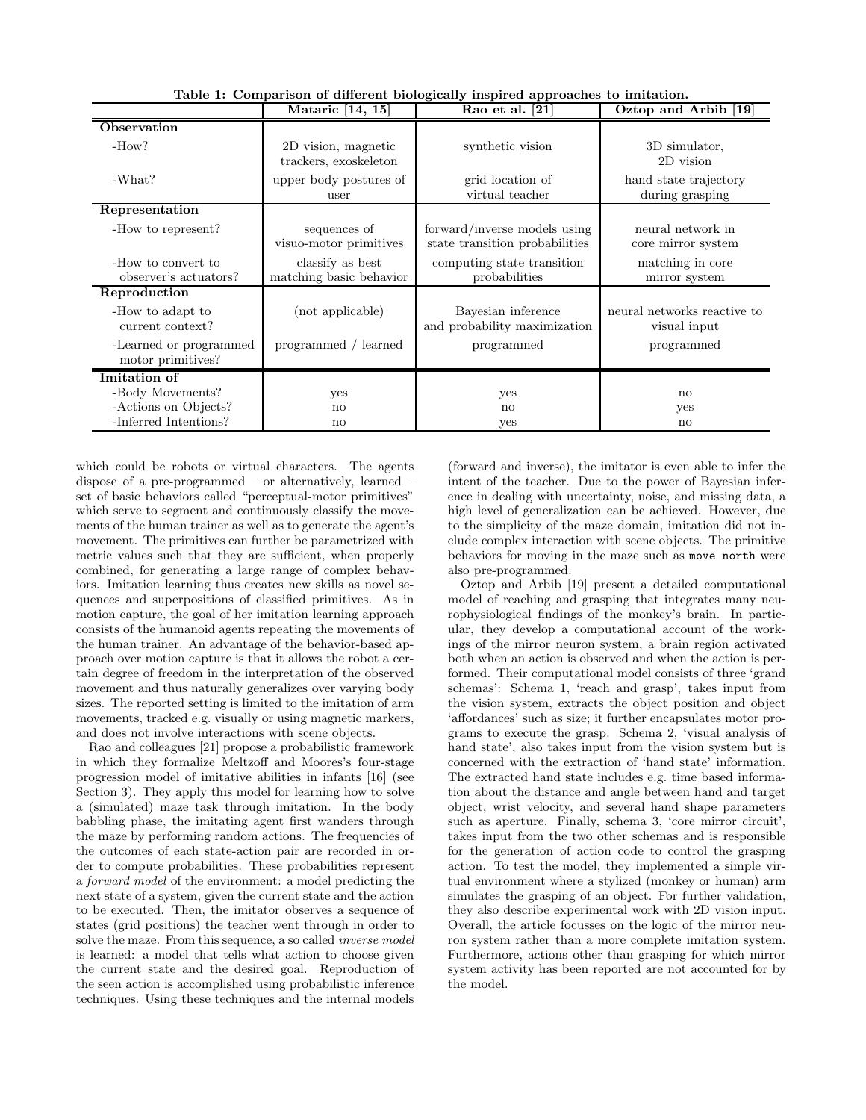|                                             | Mataric [14, 15]                             | Rao et al. [21]                                                | Oztop and Arbib [19]                        |
|---------------------------------------------|----------------------------------------------|----------------------------------------------------------------|---------------------------------------------|
| Observation                                 |                                              |                                                                |                                             |
| $-How?$                                     | 2D vision, magnetic<br>trackers, exoskeleton | synthetic vision                                               | 3D simulator,<br>2D vision                  |
| -What?                                      | upper body postures of<br>user               | grid location of<br>virtual teacher                            | hand state trajectory<br>during grasping    |
| Representation                              |                                              |                                                                |                                             |
| -How to represent?                          | sequences of<br>visuo-motor primitives       | forward/inverse models using<br>state transition probabilities | neural network in<br>core mirror system     |
| -How to convert to<br>observer's actuators? | classify as best<br>matching basic behavior  | computing state transition<br>probabilities                    | matching in core<br>mirror system           |
| Reproduction                                |                                              |                                                                |                                             |
| -How to adapt to<br>current context?        | (not applicable)                             | Bayesian inference<br>and probability maximization             | neural networks reactive to<br>visual input |
| -Learned or programmed<br>motor primitives? | programmed / learned                         | programmed                                                     | programmed                                  |
| Imitation of                                |                                              |                                                                |                                             |
| -Body Movements?                            | yes                                          | yes                                                            | $\mathbf{n}$                                |
| -Actions on Objects?                        | $\mathbf{n}$                                 | $\mathbf{n}$                                                   | yes                                         |
| -Inferred Intentions?                       | $\mathbf{n}$                                 | yes                                                            | $\mathbf{n}$                                |

Table 1: Comparison of different biologically inspired approaches to imitation.

which could be robots or virtual characters. The agents dispose of a pre-programmed – or alternatively, learned – set of basic behaviors called "perceptual-motor primitives" which serve to segment and continuously classify the movements of the human trainer as well as to generate the agent's movement. The primitives can further be parametrized with metric values such that they are sufficient, when properly combined, for generating a large range of complex behaviors. Imitation learning thus creates new skills as novel sequences and superpositions of classified primitives. As in motion capture, the goal of her imitation learning approach consists of the humanoid agents repeating the movements of the human trainer. An advantage of the behavior-based approach over motion capture is that it allows the robot a certain degree of freedom in the interpretation of the observed movement and thus naturally generalizes over varying body sizes. The reported setting is limited to the imitation of arm movements, tracked e.g. visually or using magnetic markers, and does not involve interactions with scene objects.

Rao and colleagues [21] propose a probabilistic framework in which they formalize Meltzoff and Moores's four-stage progression model of imitative abilities in infants [16] (see Section 3). They apply this model for learning how to solve a (simulated) maze task through imitation. In the body babbling phase, the imitating agent first wanders through the maze by performing random actions. The frequencies of the outcomes of each state-action pair are recorded in order to compute probabilities. These probabilities represent a forward model of the environment: a model predicting the next state of a system, given the current state and the action to be executed. Then, the imitator observes a sequence of states (grid positions) the teacher went through in order to solve the maze. From this sequence, a so called inverse model is learned: a model that tells what action to choose given the current state and the desired goal. Reproduction of the seen action is accomplished using probabilistic inference techniques. Using these techniques and the internal models

(forward and inverse), the imitator is even able to infer the intent of the teacher. Due to the power of Bayesian inference in dealing with uncertainty, noise, and missing data, a high level of generalization can be achieved. However, due to the simplicity of the maze domain, imitation did not include complex interaction with scene objects. The primitive behaviors for moving in the maze such as move north were also pre-programmed.

Oztop and Arbib [19] present a detailed computational model of reaching and grasping that integrates many neurophysiological findings of the monkey's brain. In particular, they develop a computational account of the workings of the mirror neuron system, a brain region activated both when an action is observed and when the action is performed. Their computational model consists of three 'grand schemas': Schema 1, 'reach and grasp', takes input from the vision system, extracts the object position and object 'affordances' such as size; it further encapsulates motor programs to execute the grasp. Schema 2, 'visual analysis of hand state', also takes input from the vision system but is concerned with the extraction of 'hand state' information. The extracted hand state includes e.g. time based information about the distance and angle between hand and target object, wrist velocity, and several hand shape parameters such as aperture. Finally, schema 3, 'core mirror circuit', takes input from the two other schemas and is responsible for the generation of action code to control the grasping action. To test the model, they implemented a simple virtual environment where a stylized (monkey or human) arm simulates the grasping of an object. For further validation, they also describe experimental work with 2D vision input. Overall, the article focusses on the logic of the mirror neuron system rather than a more complete imitation system. Furthermore, actions other than grasping for which mirror system activity has been reported are not accounted for by the model.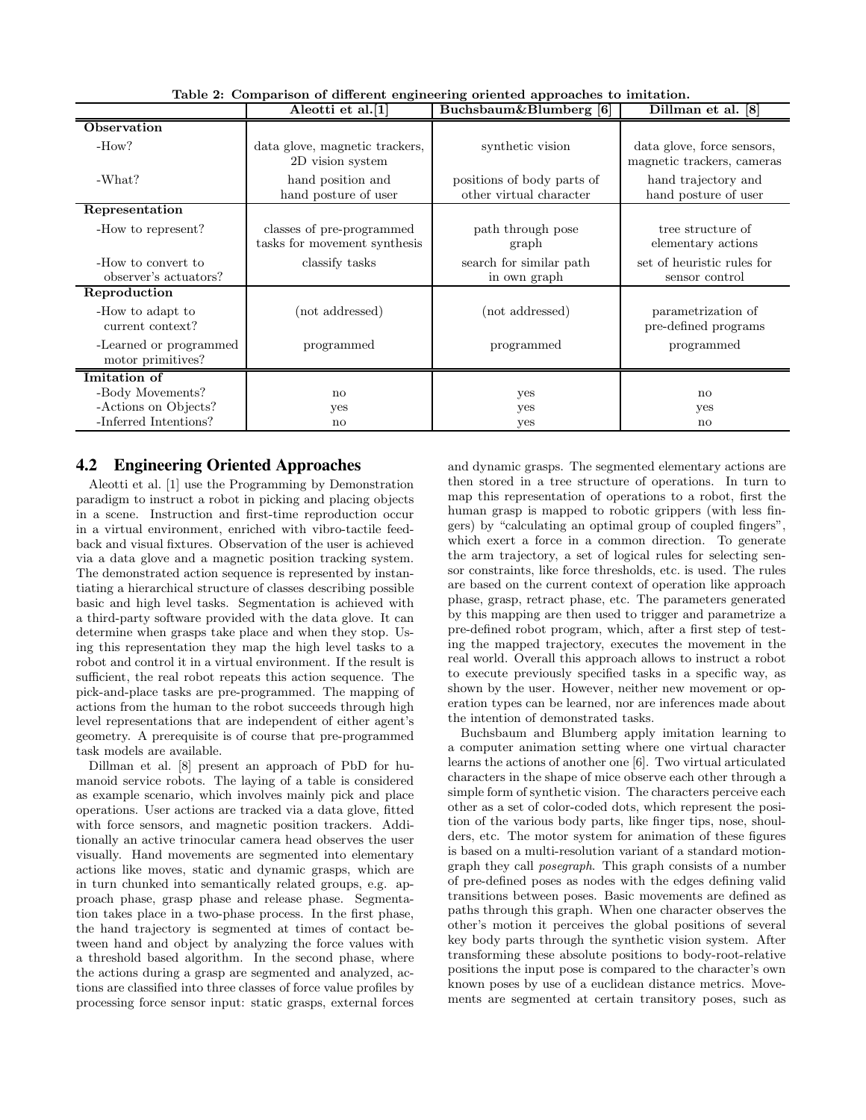|                                             | Aleotti et al.[1]                                         | Buchsbaum&Blumberg [6]                                | Dillman et al. [8]                                       |
|---------------------------------------------|-----------------------------------------------------------|-------------------------------------------------------|----------------------------------------------------------|
| Observation                                 |                                                           |                                                       |                                                          |
| $-How?$                                     | data glove, magnetic trackers,<br>2D vision system        | synthetic vision                                      | data glove, force sensors,<br>magnetic trackers, cameras |
| -What?                                      | hand position and<br>hand posture of user                 | positions of body parts of<br>other virtual character | hand trajectory and<br>hand posture of user              |
| Representation                              |                                                           |                                                       |                                                          |
| -How to represent?                          | classes of pre-programmed<br>tasks for movement synthesis | path through pose<br>graph                            | tree structure of<br>elementary actions                  |
| -How to convert to<br>observer's actuators? | classify tasks                                            | search for similar path<br>in own graph               | set of heuristic rules for<br>sensor control             |
| Reproduction                                |                                                           |                                                       |                                                          |
| -How to adapt to<br>current context?        | (not addressed)                                           | (not addressed)                                       | parametrization of<br>pre-defined programs               |
| -Learned or programmed<br>motor primitives? | programmed                                                | programmed                                            | programmed                                               |
| Imitation of                                |                                                           |                                                       |                                                          |
| -Body Movements?                            | $\mathbf{n}$                                              | yes                                                   | $\mathbf{n}\mathbf{o}$                                   |
| -Actions on Objects?                        | yes                                                       | yes                                                   | yes                                                      |
| -Inferred Intentions?                       | $\mathbf{n}$                                              | yes                                                   | $\mathbf{n}$                                             |

Table 2: Comparison of different engineering oriented approaches to imitation.

# **4.2 Engineering Oriented Approaches**

Aleotti et al. [1] use the Programming by Demonstration paradigm to instruct a robot in picking and placing objects in a scene. Instruction and first-time reproduction occur in a virtual environment, enriched with vibro-tactile feedback and visual fixtures. Observation of the user is achieved via a data glove and a magnetic position tracking system. The demonstrated action sequence is represented by instantiating a hierarchical structure of classes describing possible basic and high level tasks. Segmentation is achieved with a third-party software provided with the data glove. It can determine when grasps take place and when they stop. Using this representation they map the high level tasks to a robot and control it in a virtual environment. If the result is sufficient, the real robot repeats this action sequence. The pick-and-place tasks are pre-programmed. The mapping of actions from the human to the robot succeeds through high level representations that are independent of either agent's geometry. A prerequisite is of course that pre-programmed task models are available.

Dillman et al. [8] present an approach of PbD for humanoid service robots. The laying of a table is considered as example scenario, which involves mainly pick and place operations. User actions are tracked via a data glove, fitted with force sensors, and magnetic position trackers. Additionally an active trinocular camera head observes the user visually. Hand movements are segmented into elementary actions like moves, static and dynamic grasps, which are in turn chunked into semantically related groups, e.g. approach phase, grasp phase and release phase. Segmentation takes place in a two-phase process. In the first phase, the hand trajectory is segmented at times of contact between hand and object by analyzing the force values with a threshold based algorithm. In the second phase, where the actions during a grasp are segmented and analyzed, actions are classified into three classes of force value profiles by processing force sensor input: static grasps, external forces and dynamic grasps. The segmented elementary actions are then stored in a tree structure of operations. In turn to map this representation of operations to a robot, first the human grasp is mapped to robotic grippers (with less fingers) by "calculating an optimal group of coupled fingers", which exert a force in a common direction. To generate the arm trajectory, a set of logical rules for selecting sensor constraints, like force thresholds, etc. is used. The rules are based on the current context of operation like approach phase, grasp, retract phase, etc. The parameters generated by this mapping are then used to trigger and parametrize a pre-defined robot program, which, after a first step of testing the mapped trajectory, executes the movement in the real world. Overall this approach allows to instruct a robot to execute previously specified tasks in a specific way, as shown by the user. However, neither new movement or operation types can be learned, nor are inferences made about the intention of demonstrated tasks.

Buchsbaum and Blumberg apply imitation learning to a computer animation setting where one virtual character learns the actions of another one [6]. Two virtual articulated characters in the shape of mice observe each other through a simple form of synthetic vision. The characters perceive each other as a set of color-coded dots, which represent the position of the various body parts, like finger tips, nose, shoulders, etc. The motor system for animation of these figures is based on a multi-resolution variant of a standard motiongraph they call posegraph. This graph consists of a number of pre-defined poses as nodes with the edges defining valid transitions between poses. Basic movements are defined as paths through this graph. When one character observes the other's motion it perceives the global positions of several key body parts through the synthetic vision system. After transforming these absolute positions to body-root-relative positions the input pose is compared to the character's own known poses by use of a euclidean distance metrics. Movements are segmented at certain transitory poses, such as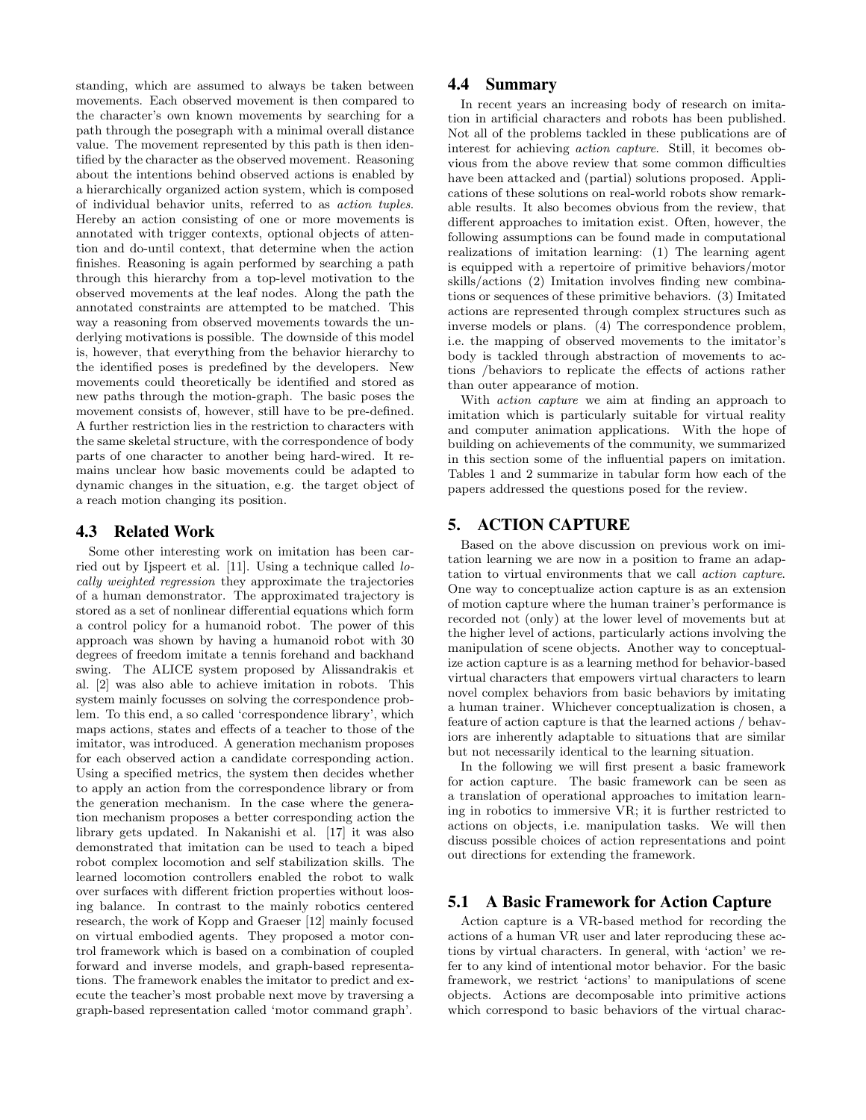standing, which are assumed to always be taken between movements. Each observed movement is then compared to the character's own known movements by searching for a path through the posegraph with a minimal overall distance value. The movement represented by this path is then identified by the character as the observed movement. Reasoning about the intentions behind observed actions is enabled by a hierarchically organized action system, which is composed of individual behavior units, referred to as action tuples. Hereby an action consisting of one or more movements is annotated with trigger contexts, optional objects of attention and do-until context, that determine when the action finishes. Reasoning is again performed by searching a path through this hierarchy from a top-level motivation to the observed movements at the leaf nodes. Along the path the annotated constraints are attempted to be matched. This way a reasoning from observed movements towards the underlying motivations is possible. The downside of this model is, however, that everything from the behavior hierarchy to the identified poses is predefined by the developers. New movements could theoretically be identified and stored as new paths through the motion-graph. The basic poses the movement consists of, however, still have to be pre-defined. A further restriction lies in the restriction to characters with the same skeletal structure, with the correspondence of body parts of one character to another being hard-wired. It remains unclear how basic movements could be adapted to dynamic changes in the situation, e.g. the target object of a reach motion changing its position.

#### **4.3 Related Work**

Some other interesting work on imitation has been carried out by Ijspeert et al. [11]. Using a technique called locally weighted regression they approximate the trajectories of a human demonstrator. The approximated trajectory is stored as a set of nonlinear differential equations which form a control policy for a humanoid robot. The power of this approach was shown by having a humanoid robot with 30 degrees of freedom imitate a tennis forehand and backhand swing. The ALICE system proposed by Alissandrakis et al. [2] was also able to achieve imitation in robots. This system mainly focusses on solving the correspondence problem. To this end, a so called 'correspondence library', which maps actions, states and effects of a teacher to those of the imitator, was introduced. A generation mechanism proposes for each observed action a candidate corresponding action. Using a specified metrics, the system then decides whether to apply an action from the correspondence library or from the generation mechanism. In the case where the generation mechanism proposes a better corresponding action the library gets updated. In Nakanishi et al. [17] it was also demonstrated that imitation can be used to teach a biped robot complex locomotion and self stabilization skills. The learned locomotion controllers enabled the robot to walk over surfaces with different friction properties without loosing balance. In contrast to the mainly robotics centered research, the work of Kopp and Graeser [12] mainly focused on virtual embodied agents. They proposed a motor control framework which is based on a combination of coupled forward and inverse models, and graph-based representations. The framework enables the imitator to predict and execute the teacher's most probable next move by traversing a graph-based representation called 'motor command graph'.

#### **4.4 Summary**

In recent years an increasing body of research on imitation in artificial characters and robots has been published. Not all of the problems tackled in these publications are of interest for achieving action capture. Still, it becomes obvious from the above review that some common difficulties have been attacked and (partial) solutions proposed. Applications of these solutions on real-world robots show remarkable results. It also becomes obvious from the review, that different approaches to imitation exist. Often, however, the following assumptions can be found made in computational realizations of imitation learning: (1) The learning agent is equipped with a repertoire of primitive behaviors/motor skills/actions (2) Imitation involves finding new combinations or sequences of these primitive behaviors. (3) Imitated actions are represented through complex structures such as inverse models or plans. (4) The correspondence problem, i.e. the mapping of observed movements to the imitator's body is tackled through abstraction of movements to actions /behaviors to replicate the effects of actions rather than outer appearance of motion.

With *action capture* we aim at finding an approach to imitation which is particularly suitable for virtual reality and computer animation applications. With the hope of building on achievements of the community, we summarized in this section some of the influential papers on imitation. Tables 1 and 2 summarize in tabular form how each of the papers addressed the questions posed for the review.

# **5. ACTION CAPTURE**

Based on the above discussion on previous work on imitation learning we are now in a position to frame an adaptation to virtual environments that we call action capture. One way to conceptualize action capture is as an extension of motion capture where the human trainer's performance is recorded not (only) at the lower level of movements but at the higher level of actions, particularly actions involving the manipulation of scene objects. Another way to conceptualize action capture is as a learning method for behavior-based virtual characters that empowers virtual characters to learn novel complex behaviors from basic behaviors by imitating a human trainer. Whichever conceptualization is chosen, a feature of action capture is that the learned actions / behaviors are inherently adaptable to situations that are similar but not necessarily identical to the learning situation.

In the following we will first present a basic framework for action capture. The basic framework can be seen as a translation of operational approaches to imitation learning in robotics to immersive VR; it is further restricted to actions on objects, i.e. manipulation tasks. We will then discuss possible choices of action representations and point out directions for extending the framework.

#### **5.1 A Basic Framework for Action Capture**

Action capture is a VR-based method for recording the actions of a human VR user and later reproducing these actions by virtual characters. In general, with 'action' we refer to any kind of intentional motor behavior. For the basic framework, we restrict 'actions' to manipulations of scene objects. Actions are decomposable into primitive actions which correspond to basic behaviors of the virtual charac-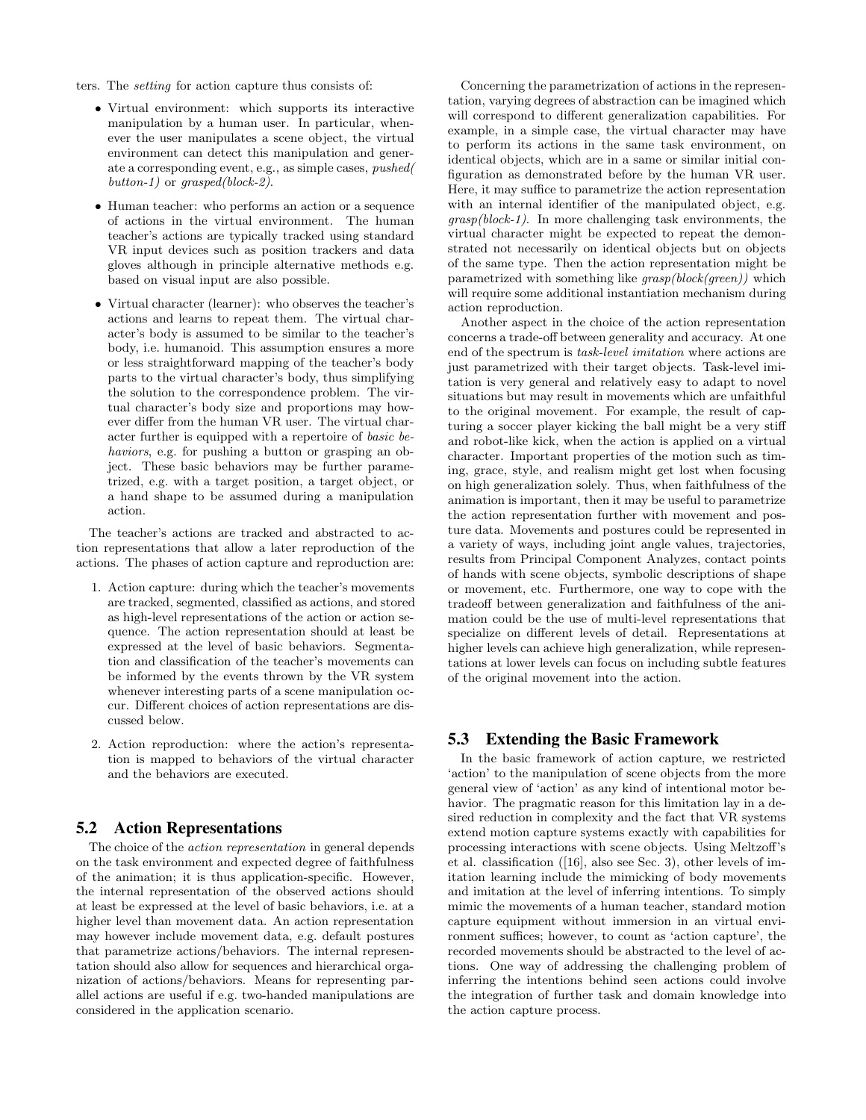- ters. The setting for action capture thus consists of:
	- Virtual environment: which supports its interactive manipulation by a human user. In particular, whenever the user manipulates a scene object, the virtual environment can detect this manipulation and generate a corresponding event, e.g., as simple cases, pushed(  $button-1)$  or  $qrasped(block-2)$ .
	- Human teacher: who performs an action or a sequence of actions in the virtual environment. The human teacher's actions are typically tracked using standard VR input devices such as position trackers and data gloves although in principle alternative methods e.g. based on visual input are also possible.
	- Virtual character (learner): who observes the teacher's actions and learns to repeat them. The virtual character's body is assumed to be similar to the teacher's body, i.e. humanoid. This assumption ensures a more or less straightforward mapping of the teacher's body parts to the virtual character's body, thus simplifying the solution to the correspondence problem. The virtual character's body size and proportions may however differ from the human VR user. The virtual character further is equipped with a repertoire of basic behaviors, e.g. for pushing a button or grasping an object. These basic behaviors may be further parametrized, e.g. with a target position, a target object, or a hand shape to be assumed during a manipulation action.

The teacher's actions are tracked and abstracted to action representations that allow a later reproduction of the actions. The phases of action capture and reproduction are:

- 1. Action capture: during which the teacher's movements are tracked, segmented, classified as actions, and stored as high-level representations of the action or action sequence. The action representation should at least be expressed at the level of basic behaviors. Segmentation and classification of the teacher's movements can be informed by the events thrown by the VR system whenever interesting parts of a scene manipulation occur. Different choices of action representations are discussed below.
- 2. Action reproduction: where the action's representation is mapped to behaviors of the virtual character and the behaviors are executed.

## **5.2 Action Representations**

The choice of the action representation in general depends on the task environment and expected degree of faithfulness of the animation; it is thus application-specific. However, the internal representation of the observed actions should at least be expressed at the level of basic behaviors, i.e. at a higher level than movement data. An action representation may however include movement data, e.g. default postures that parametrize actions/behaviors. The internal representation should also allow for sequences and hierarchical organization of actions/behaviors. Means for representing parallel actions are useful if e.g. two-handed manipulations are considered in the application scenario.

Concerning the parametrization of actions in the representation, varying degrees of abstraction can be imagined which will correspond to different generalization capabilities. For example, in a simple case, the virtual character may have to perform its actions in the same task environment, on identical objects, which are in a same or similar initial configuration as demonstrated before by the human VR user. Here, it may suffice to parametrize the action representation with an internal identifier of the manipulated object, e.g.  $grasp(block-1)$ . In more challenging task environments, the virtual character might be expected to repeat the demonstrated not necessarily on identical objects but on objects of the same type. Then the action representation might be parametrized with something like  $grasp(block(green))$  which will require some additional instantiation mechanism during action reproduction.

Another aspect in the choice of the action representation concerns a trade-off between generality and accuracy. At one end of the spectrum is task-level imitation where actions are just parametrized with their target objects. Task-level imitation is very general and relatively easy to adapt to novel situations but may result in movements which are unfaithful to the original movement. For example, the result of capturing a soccer player kicking the ball might be a very stiff and robot-like kick, when the action is applied on a virtual character. Important properties of the motion such as timing, grace, style, and realism might get lost when focusing on high generalization solely. Thus, when faithfulness of the animation is important, then it may be useful to parametrize the action representation further with movement and posture data. Movements and postures could be represented in a variety of ways, including joint angle values, trajectories, results from Principal Component Analyzes, contact points of hands with scene objects, symbolic descriptions of shape or movement, etc. Furthermore, one way to cope with the tradeoff between generalization and faithfulness of the animation could be the use of multi-level representations that specialize on different levels of detail. Representations at higher levels can achieve high generalization, while representations at lower levels can focus on including subtle features of the original movement into the action.

## **5.3 Extending the Basic Framework**

In the basic framework of action capture, we restricted 'action' to the manipulation of scene objects from the more general view of 'action' as any kind of intentional motor behavior. The pragmatic reason for this limitation lay in a desired reduction in complexity and the fact that VR systems extend motion capture systems exactly with capabilities for processing interactions with scene objects. Using Meltzoff's et al. classification ([16], also see Sec. 3), other levels of imitation learning include the mimicking of body movements and imitation at the level of inferring intentions. To simply mimic the movements of a human teacher, standard motion capture equipment without immersion in an virtual environment suffices; however, to count as 'action capture', the recorded movements should be abstracted to the level of actions. One way of addressing the challenging problem of inferring the intentions behind seen actions could involve the integration of further task and domain knowledge into the action capture process.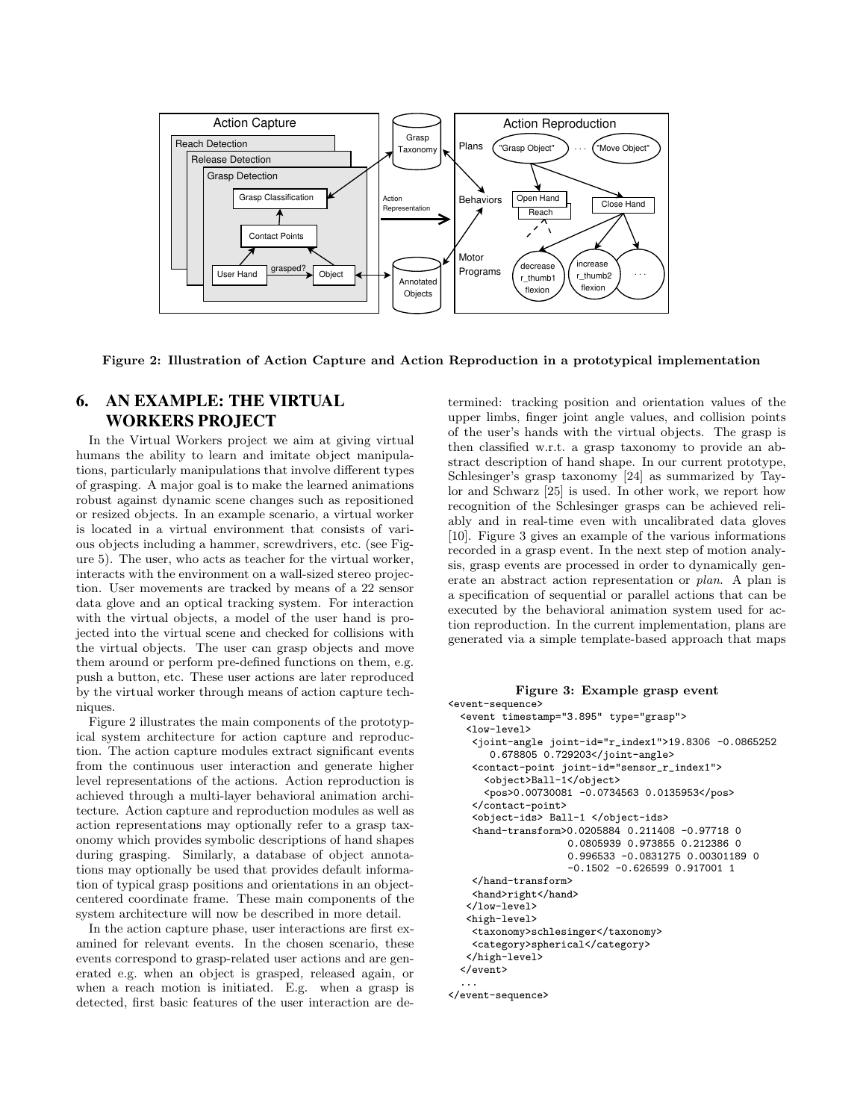

Figure 2: Illustration of Action Capture and Action Reproduction in a prototypical implementation

# **6. AN EXAMPLE: THE VIRTUAL WORKERS PROJECT**

In the Virtual Workers project we aim at giving virtual humans the ability to learn and imitate object manipulations, particularly manipulations that involve different types of grasping. A major goal is to make the learned animations robust against dynamic scene changes such as repositioned or resized objects. In an example scenario, a virtual worker is located in a virtual environment that consists of various objects including a hammer, screwdrivers, etc. (see Figure 5). The user, who acts as teacher for the virtual worker, interacts with the environment on a wall-sized stereo projection. User movements are tracked by means of a 22 sensor data glove and an optical tracking system. For interaction with the virtual objects, a model of the user hand is projected into the virtual scene and checked for collisions with the virtual objects. The user can grasp objects and move them around or perform pre-defined functions on them, e.g. push a button, etc. These user actions are later reproduced by the virtual worker through means of action capture techniques.

Figure 2 illustrates the main components of the prototypical system architecture for action capture and reproduction. The action capture modules extract significant events from the continuous user interaction and generate higher level representations of the actions. Action reproduction is achieved through a multi-layer behavioral animation architecture. Action capture and reproduction modules as well as action representations may optionally refer to a grasp taxonomy which provides symbolic descriptions of hand shapes during grasping. Similarly, a database of object annotations may optionally be used that provides default information of typical grasp positions and orientations in an objectcentered coordinate frame. These main components of the system architecture will now be described in more detail.

In the action capture phase, user interactions are first examined for relevant events. In the chosen scenario, these events correspond to grasp-related user actions and are generated e.g. when an object is grasped, released again, or when a reach motion is initiated. E.g. when a grasp is detected, first basic features of the user interaction are de-

termined: tracking position and orientation values of the upper limbs, finger joint angle values, and collision points of the user's hands with the virtual objects. The grasp is then classified w.r.t. a grasp taxonomy to provide an abstract description of hand shape. In our current prototype, Schlesinger's grasp taxonomy [24] as summarized by Taylor and Schwarz [25] is used. In other work, we report how recognition of the Schlesinger grasps can be achieved reliably and in real-time even with uncalibrated data gloves [10]. Figure 3 gives an example of the various informations recorded in a grasp event. In the next step of motion analysis, grasp events are processed in order to dynamically generate an abstract action representation or plan. A plan is a specification of sequential or parallel actions that can be executed by the behavioral animation system used for action reproduction. In the current implementation, plans are generated via a simple template-based approach that maps

#### Figure 3: Example grasp event

```
<event-sequence>
  <event timestamp="3.895" type="grasp">
   <low-level>
    <joint-angle joint-id="r_index1">19.8306 -0.0865252
       0.678805 0.729203</joint-angle>
    <contact-point joint-id="sensor_r_index1">
      <object>Ball-1</object>
      <pos>0.00730081 -0.0734563 0.0135953</pos>
    </contact-point>
    <object-ids> Ball-1 </object-ids>
    <hand-transform>0.0205884 0.211408 -0.97718 0
                    0.0805939 0.973855 0.212386 0
                    0.996533 -0.0831275 0.00301189 0
                    -0.1502 -0.626599 0.917001 1
    </hand-transform>
    <hand>right</hand>
   </low-level>
   <high-level>
    <taxonomy>schlesinger</taxonomy>
    <category>spherical</category>
   </high-level>
  </event>
  ...
</event-sequence>
```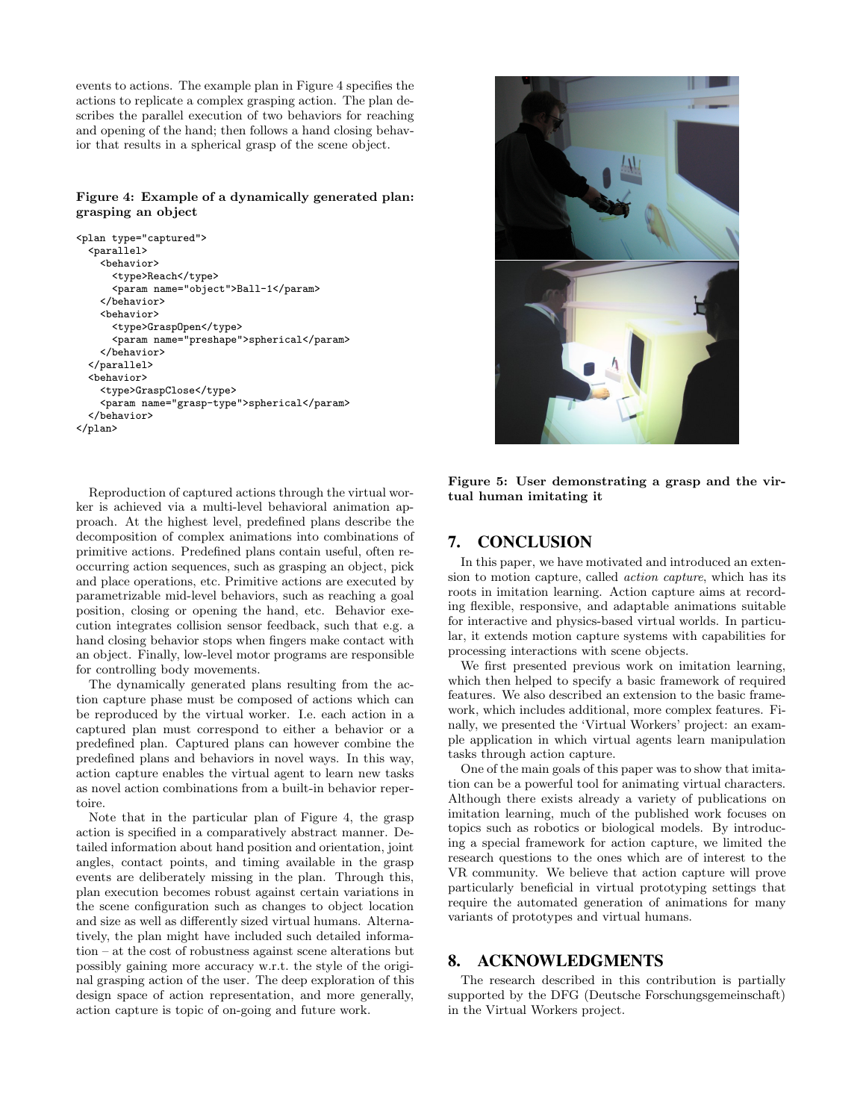events to actions. The example plan in Figure 4 specifies the actions to replicate a complex grasping action. The plan describes the parallel execution of two behaviors for reaching and opening of the hand; then follows a hand closing behavior that results in a spherical grasp of the scene object.

#### Figure 4: Example of a dynamically generated plan: grasping an object

```
<plan type="captured">
  <parallel>
    <behavior>
      <type>Reach</type>
      <param name="object">Ball-1</param>
    </behavior>
    <behavior>
      <type>GraspOpen</type>
      <param name="preshape">spherical</param>
    </behavior>
  </parallel>
  <behavior>
    <type>GraspClose</type>
    <param name="grasp-type">spherical</param>
  </behavior>
</plan>
```
Reproduction of captured actions through the virtual worker is achieved via a multi-level behavioral animation approach. At the highest level, predefined plans describe the decomposition of complex animations into combinations of primitive actions. Predefined plans contain useful, often reoccurring action sequences, such as grasping an object, pick and place operations, etc. Primitive actions are executed by parametrizable mid-level behaviors, such as reaching a goal position, closing or opening the hand, etc. Behavior execution integrates collision sensor feedback, such that e.g. a hand closing behavior stops when fingers make contact with an object. Finally, low-level motor programs are responsible for controlling body movements.

The dynamically generated plans resulting from the action capture phase must be composed of actions which can be reproduced by the virtual worker. I.e. each action in a captured plan must correspond to either a behavior or a predefined plan. Captured plans can however combine the predefined plans and behaviors in novel ways. In this way, action capture enables the virtual agent to learn new tasks as novel action combinations from a built-in behavior repertoire.

Note that in the particular plan of Figure 4, the grasp action is specified in a comparatively abstract manner. Detailed information about hand position and orientation, joint angles, contact points, and timing available in the grasp events are deliberately missing in the plan. Through this, plan execution becomes robust against certain variations in the scene configuration such as changes to object location and size as well as differently sized virtual humans. Alternatively, the plan might have included such detailed information – at the cost of robustness against scene alterations but possibly gaining more accuracy w.r.t. the style of the original grasping action of the user. The deep exploration of this design space of action representation, and more generally, action capture is topic of on-going and future work.



Figure 5: User demonstrating a grasp and the virtual human imitating it

### **7. CONCLUSION**

In this paper, we have motivated and introduced an extension to motion capture, called action capture, which has its roots in imitation learning. Action capture aims at recording flexible, responsive, and adaptable animations suitable for interactive and physics-based virtual worlds. In particular, it extends motion capture systems with capabilities for processing interactions with scene objects.

We first presented previous work on imitation learning, which then helped to specify a basic framework of required features. We also described an extension to the basic framework, which includes additional, more complex features. Finally, we presented the 'Virtual Workers' project: an example application in which virtual agents learn manipulation tasks through action capture.

One of the main goals of this paper was to show that imitation can be a powerful tool for animating virtual characters. Although there exists already a variety of publications on imitation learning, much of the published work focuses on topics such as robotics or biological models. By introducing a special framework for action capture, we limited the research questions to the ones which are of interest to the VR community. We believe that action capture will prove particularly beneficial in virtual prototyping settings that require the automated generation of animations for many variants of prototypes and virtual humans.

#### **8. ACKNOWLEDGMENTS**

The research described in this contribution is partially supported by the DFG (Deutsche Forschungsgemeinschaft) in the Virtual Workers project.